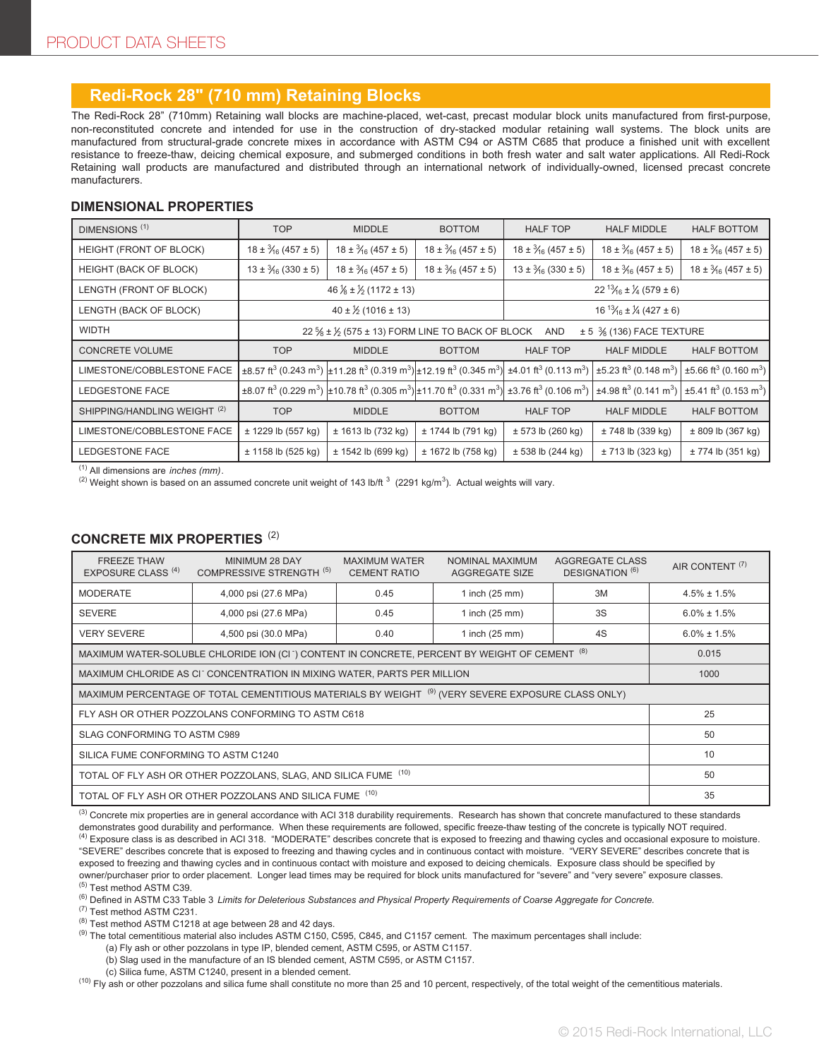## **Redi-Rock 28" (710 mm) Retaining Blocks**

The Redi-Rock 28" (710mm) Retaining wall blocks are machine-placed, wet-cast, precast modular block units manufactured from first-purpose, non-reconstituted concrete and intended for use in the construction of dry-stacked modular retaining wall systems. The block units are manufactured from structural-grade concrete mixes in accordance with ASTM C94 or ASTM C685 that produce a finished unit with excellent resistance to freeze-thaw, deicing chemical exposure, and submerged conditions in both fresh water and salt water applications. All Redi-Rock Retaining wall products are manufactured and distributed through an international network of individually-owned, licensed precast concrete manufacturers.

#### **DIMENSIONAL PROPERTIES**

| DIMENSIONS <sup>(1)</sup>               | <b>TOP</b>                                                                                                                | <b>MIDDLE</b>                                                                                                                                                                                                 | <b>BOTTOM</b>                     | <b>HALF TOP</b>                             | <b>HALF MIDDLE</b>                                 | <b>HALF BOTTOM</b>                                 |
|-----------------------------------------|---------------------------------------------------------------------------------------------------------------------------|---------------------------------------------------------------------------------------------------------------------------------------------------------------------------------------------------------------|-----------------------------------|---------------------------------------------|----------------------------------------------------|----------------------------------------------------|
| HEIGHT (FRONT OF BLOCK)                 | $18 \pm \frac{3}{16} (457 \pm 5)$                                                                                         | $18 \pm \frac{3}{16} (457 \pm 5)$                                                                                                                                                                             | $18 \pm \frac{3}{16} (457 \pm 5)$ | $18 \pm \frac{3}{16} (457 \pm 5)$           | $18 \pm \frac{3}{16} (457 \pm 5)$                  | $18 \pm \frac{3}{16} (457 \pm 5)$                  |
| HEIGHT (BACK OF BLOCK)                  | $13 \pm \frac{3}{16} (330 \pm 5)$                                                                                         | $18 \pm \frac{3}{16} (457 \pm 5)$                                                                                                                                                                             | $18 \pm \frac{3}{16} (457 \pm 5)$ | $13 \pm \frac{3}{16} (330 \pm 5)$           | $18 \pm \frac{3}{16} (457 \pm 5)$                  | $18 \pm \frac{3}{16} (457 \pm 5)$                  |
| LENGTH (FRONT OF BLOCK)                 | $46\frac{1}{8} \pm \frac{1}{2}$ (1172 ± 13)                                                                               |                                                                                                                                                                                                               |                                   | $22^{13}/_{16} \pm \frac{1}{4} (579 \pm 6)$ |                                                    |                                                    |
| LENGTH (BACK OF BLOCK)                  | $40 \pm \frac{1}{2}$ (1016 ± 13)                                                                                          |                                                                                                                                                                                                               |                                   | $16^{13}/_{16} \pm \frac{1}{4} (427 \pm 6)$ |                                                    |                                                    |
| <b>WIDTH</b>                            | 22 $\frac{5}{6}$ ± $\frac{1}{6}$ (575 ± 13) FORM LINE TO BACK OF BLOCK<br>$\pm$ 5 $\frac{3}{8}$ (136) FACE TEXTURE<br>AND |                                                                                                                                                                                                               |                                   |                                             |                                                    |                                                    |
| <b>CONCRETE VOLUME</b>                  | <b>TOP</b>                                                                                                                | <b>MIDDLE</b>                                                                                                                                                                                                 | <b>BOTTOM</b>                     | <b>HALF TOP</b>                             | <b>HALF MIDDLE</b>                                 | <b>HALF BOTTOM</b>                                 |
| LIMESTONE/COBBLESTONE FACE              |                                                                                                                           | $\pm$ 8.57 ft <sup>3</sup> (0.243 m <sup>3</sup> ) $\pm$ 11.28 ft <sup>3</sup> (0.319 m <sup>3</sup> ) $\pm$ 12.19 ft <sup>3</sup> (0.345 m <sup>3</sup> ) $\pm$ 4.01 ft <sup>3</sup> (0.113 m <sup>3</sup> ) |                                   |                                             | $\pm$ 5.23 ft <sup>3</sup> (0.148 m <sup>3</sup> ) | $\pm 5.66$ ft <sup>3</sup> (0.160 m <sup>3</sup> ) |
| LEDGESTONE FACE                         |                                                                                                                           | $\pm$ 8.07 ft <sup>3</sup> (0.229 m <sup>3</sup> ) $\pm$ 10.78 ft <sup>3</sup> (0.305 m <sup>3</sup> ) $\pm$ 11.70 ft <sup>3</sup> (0.331 m <sup>3</sup> ) $\pm$ 3.76 ft <sup>3</sup> (0.106 m <sup>3</sup> ) |                                   |                                             | $\pm$ 4.98 ft <sup>3</sup> (0.141 m <sup>3</sup> ) | $\pm$ 5.41 ft <sup>3</sup> (0.153 m <sup>3</sup> ) |
| SHIPPING/HANDLING WEIGHT <sup>(2)</sup> | <b>TOP</b>                                                                                                                | <b>MIDDLE</b>                                                                                                                                                                                                 | <b>BOTTOM</b>                     | <b>HALF TOP</b>                             | <b>HALF MIDDLE</b>                                 | <b>HALF BOTTOM</b>                                 |
| LIMESTONE/COBBLESTONE FACE              | ± 1229 lb (557 kg)                                                                                                        | ± 1613 lb (732 kg)                                                                                                                                                                                            | ± 1744 lb (791 kg)                | ± 573 lb (260 kg)                           | ± 748 lb (339 kg)                                  | $± 809$ lb (367 kg)                                |
| LEDGESTONE FACE                         | ± 1158 lb (525 kg)                                                                                                        | $± 1542$ lb (699 kg)                                                                                                                                                                                          | ± 1672 lb (758 kg)                | ± 538 lb (244 kg)                           | ± 713 lb (323 kg)                                  | ± 774 lb (351 kg)                                  |

(1) All dimensions are *inches (mm)*.

<sup>(2)</sup> Weight shown is based on an assumed concrete unit weight of 143 lb/ft  $^3$  (2291 kg/m $^3$ ). Actual weights will vary.

#### **CONCRETE MIX PROPERTIES** (2)

| <b>FREEZE THAW</b><br><b>EXPOSURE CLASS (4)</b>                                                                       | MINIMUM 28 DAY<br>COMPRESSIVE STRENGTH <sup>(5)</sup> | <b>MAXIMUM WATER</b><br><b>CEMENT RATIO</b> | NOMINAL MAXIMUM<br><b>AGGREGATE SIZE</b> | <b>AGGREGATE CLASS</b><br>DESIGNATION <sup>(6)</sup> | AIR CONTENT <sup>(7)</sup> |  |
|-----------------------------------------------------------------------------------------------------------------------|-------------------------------------------------------|---------------------------------------------|------------------------------------------|------------------------------------------------------|----------------------------|--|
| <b>MODERATE</b>                                                                                                       | 4,000 psi (27.6 MPa)                                  | 0.45                                        | 1 inch (25 mm)                           | 3M                                                   | $4.5\% \pm 1.5\%$          |  |
| <b>SEVERE</b>                                                                                                         | 4,000 psi (27.6 MPa)                                  | 0.45                                        | 1 inch (25 mm)                           | 3S                                                   | $6.0\% \pm 1.5\%$          |  |
| <b>VERY SEVERE</b>                                                                                                    | 4,500 psi (30.0 MPa)                                  | 0.40                                        | 1 inch (25 mm)                           | 4S                                                   | $6.0\% \pm 1.5\%$          |  |
| MAXIMUM WATER-SOLUBLE CHLORIDE ION (CI <sup>-</sup> ) CONTENT IN CONCRETE, PERCENT BY WEIGHT OF CEMENT <sup>(8)</sup> | 0.015                                                 |                                             |                                          |                                                      |                            |  |
| MAXIMUM CHLORIDE AS CITCONCENTRATION IN MIXING WATER, PARTS PER MILLION                                               | 1000                                                  |                                             |                                          |                                                      |                            |  |
| MAXIMUM PERCENTAGE OF TOTAL CEMENTITIOUS MATERIALS BY WEIGHT (9) (VERY SEVERE EXPOSURE CLASS ONLY)                    |                                                       |                                             |                                          |                                                      |                            |  |
| FLY ASH OR OTHER POZZOLANS CONFORMING TO ASTM C618                                                                    | 25                                                    |                                             |                                          |                                                      |                            |  |
| SLAG CONFORMING TO ASTM C989                                                                                          | 50                                                    |                                             |                                          |                                                      |                            |  |
| SILICA FUME CONFORMING TO ASTM C1240                                                                                  | 10                                                    |                                             |                                          |                                                      |                            |  |
| TOTAL OF FLY ASH OR OTHER POZZOLANS, SLAG, AND SILICA FUME (10)                                                       | 50                                                    |                                             |                                          |                                                      |                            |  |
| TOTAL OF FLY ASH OR OTHER POZZOLANS AND SILICA FUME (10)                                                              | 35                                                    |                                             |                                          |                                                      |                            |  |

<sup>(3)</sup> Concrete mix properties are in general accordance with ACI 318 durability requirements. Research has shown that concrete manufactured to these standards demonstrates good durability and performance. When these requirements are followed, specific freeze-thaw testing of the concrete is typically NOT required. <sup>(4)</sup> Exposure class is as described in ACI 318. "MODERATE" describes concrete that is exposed to freezing and thawing cycles and occasional exposure to moisture. "SEVERE" describes concrete that is exposed to freezing and thawing cycles and in continuous contact with moisture. "VERY SEVERE" describes concrete that is exposed to freezing and thawing cycles and in continuous contact with moisture and exposed to deicing chemicals. Exposure class should be specified by owner/purchaser prior to order placement. Longer lead times may be required for block units manufactured for "severe" and "very severe" exposure classes. (5) Test method ASTM C39.

(6) Defined in ASTM C33 Table 3 *Limits for Deleterious Substances and Physical Property Requirements of Coarse Aggregate for Concrete.*

(7) Test method ASTM C231.

(8) Test method ASTM C1218 at age between 28 and 42 days.

(9) The total cementitious material also includes ASTM C150, C595, C845, and C1157 cement. The maximum percentages shall include:

(a) Fly ash or other pozzolans in type IP, blended cement, ASTM C595, or ASTM C1157.

(b) Slag used in the manufacture of an IS blended cement, ASTM C595, or ASTM C1157.

(c) Silica fume, ASTM C1240, present in a blended cement.

<sup>(10)</sup> Fly ash or other pozzolans and silica fume shall constitute no more than 25 and 10 percent, respectively, of the total weight of the cementitious materials.